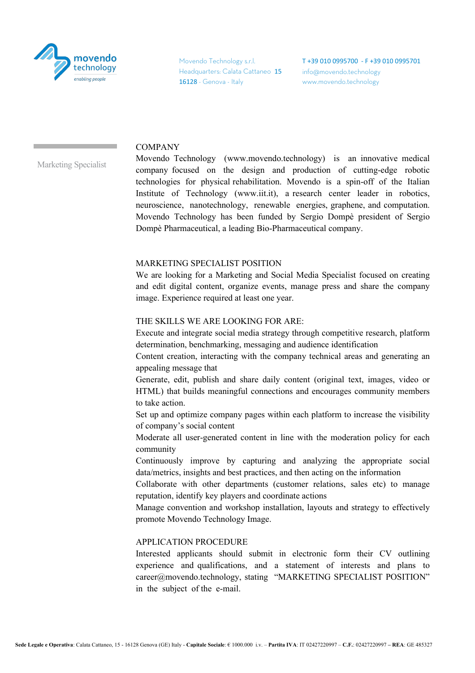

Movendo Technology s.r.l. Headquarters: Calata Cattaneo 15 16128 - Genova - Italy

T +39 010 0995700 - F +39 010 0995701 info@movendo.technology www.movendo.technology

## **COMPANY**

Marketing Specialist

Movendo Technology (www.movendo.technology) is an innovative medical company focused on the design and production of cutting-edge robotic technologies for physical rehabilitation. Movendo is a spin-off of the Italian Institute of Technology (www.iit.it), a research center leader in robotics, neuroscience, nanotechnology, renewable energies, graphene, and computation. Movendo Technology has been funded by Sergio Dompè president of Sergio Dompè Pharmaceutical, a leading Bio-Pharmaceutical company.

## MARKETING SPECIALIST POSITION

We are looking for a Marketing and Social Media Specialist focused on creating and edit digital content, organize events, manage press and share the company image. Experience required at least one year.

## THE SKILLS WE ARE LOOKING FOR ARE:

Execute and integrate social media strategy through competitive research, platform determination, benchmarking, messaging and audience identification

Content creation, interacting with the company technical areas and generating an appealing message that

Generate, edit, publish and share daily content (original text, images, video or HTML) that builds meaningful connections and encourages community members to take action.

Set up and optimize company pages within each platform to increase the visibility of company's social content

Moderate all user-generated content in line with the moderation policy for each community

Continuously improve by capturing and analyzing the appropriate social data/metrics, insights and best practices, and then acting on the information

Collaborate with other departments (customer relations, sales etc) to manage reputation, identify key players and coordinate actions

Manage convention and workshop installation, layouts and strategy to effectively promote Movendo Technology Image.

## APPLICATION PROCEDURE

Interested applicants should submit in electronic form their CV outlining experience and qualifications, and a statement of interests and plans to career@movendo.technology, stating "MARKETING SPECIALIST POSITION" in the subject of the e-mail.